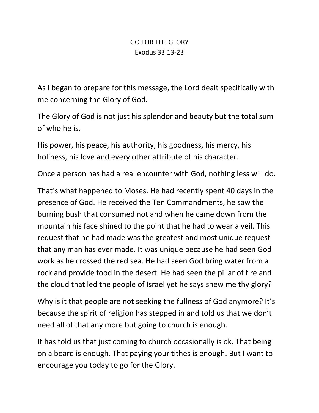## GO FOR THE GLORY Exodus 33:13-23

As I began to prepare for this message, the Lord dealt specifically with me concerning the Glory of God.

The Glory of God is not just his splendor and beauty but the total sum of who he is.

His power, his peace, his authority, his goodness, his mercy, his holiness, his love and every other attribute of his character.

Once a person has had a real encounter with God, nothing less will do.

That's what happened to Moses. He had recently spent 40 days in the presence of God. He received the Ten Commandments, he saw the burning bush that consumed not and when he came down from the mountain his face shined to the point that he had to wear a veil. This request that he had made was the greatest and most unique request that any man has ever made. It was unique because he had seen God work as he crossed the red sea. He had seen God bring water from a rock and provide food in the desert. He had seen the pillar of fire and the cloud that led the people of Israel yet he says shew me thy glory?

Why is it that people are not seeking the fullness of God anymore? It's because the spirit of religion has stepped in and told us that we don't need all of that any more but going to church is enough.

It has told us that just coming to church occasionally is ok. That being on a board is enough. That paying your tithes is enough. But I want to encourage you today to go for the Glory.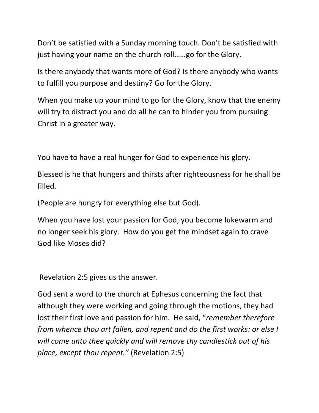Don't be satisfied with a Sunday morning touch. Don't be satisfied with just having your name on the church roll……go for the Glory.

Is there anybody that wants more of God? Is there anybody who wants to fulfill you purpose and destiny? Go for the Glory.

When you make up your mind to go for the Glory, know that the enemy will try to distract you and do all he can to hinder you from pursuing Christ in a greater way.

You have to have a real hunger for God to experience his glory.

Blessed is he that hungers and thirsts after righteousness for he shall be filled.

(People are hungry for everything else but God).

When you have lost your passion for God, you become lukewarm and no longer seek his glory. How do you get the mindset again to crave God like Moses did?

Revelation 2:5 gives us the answer.

God sent a word to the church at Ephesus concerning the fact that although they were working and going through the motions, they had lost their first love and passion for him. He said, "*remember therefore from whence thou art fallen, and repent and do the first works: or else I will come unto thee quickly and will remove thy candlestick out of his place, except thou repent."* (Revelation 2:5)